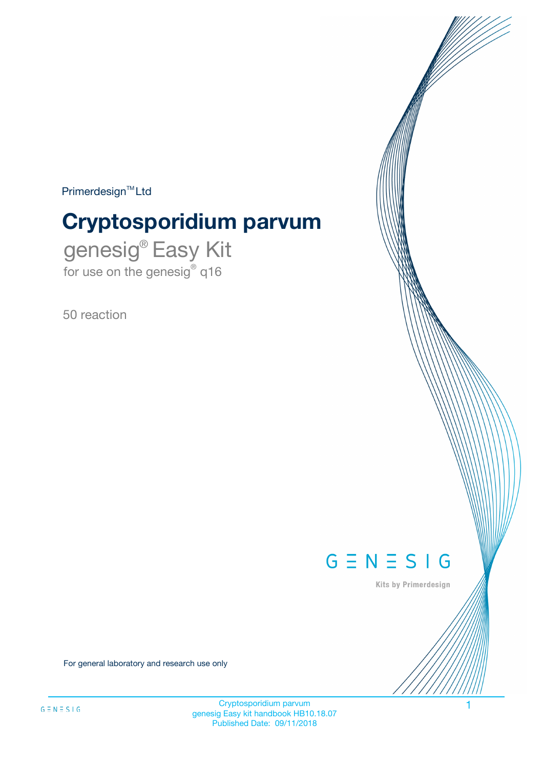$Primerdesign^{\text{TM}}Ltd$ 

# **Cryptosporidium parvum**

genesig® Easy Kit for use on the genesig® q16

50 reaction



Kits by Primerdesign

For general laboratory and research use only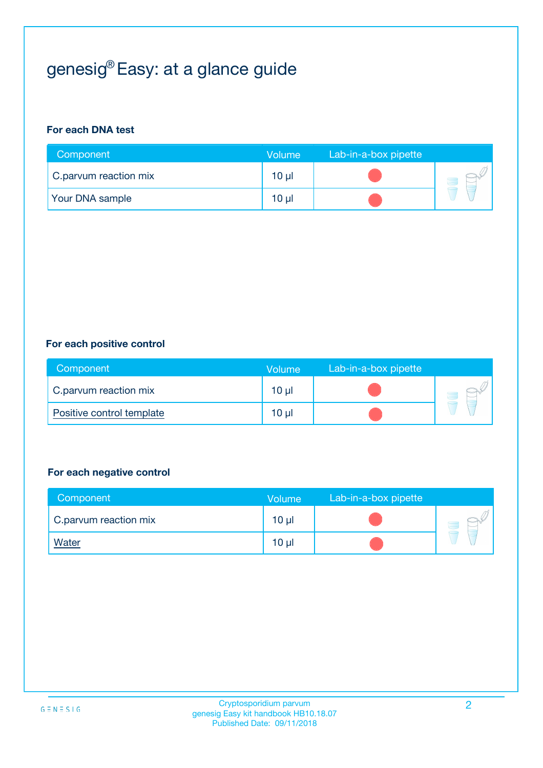# genesig® Easy: at a glance guide

#### **For each DNA test**

| Component              | <b>Volume</b> | Lab-in-a-box pipette |  |
|------------------------|---------------|----------------------|--|
| C.parvum reaction mix  | 10 µl         |                      |  |
| <b>Your DNA sample</b> | 10 µl         |                      |  |

#### **For each positive control**

| Component                 | Volume   | Lab-in-a-box pipette |  |
|---------------------------|----------|----------------------|--|
| C.parvum reaction mix     | $10 \mu$ |                      |  |
| Positive control template | $10 \mu$ |                      |  |

#### **For each negative control**

| Component             | <b>Volume</b>   | Lab-in-a-box pipette |  |
|-----------------------|-----------------|----------------------|--|
| C.parvum reaction mix | 10 <sub>µ</sub> |                      |  |
| <u>Water</u>          | 10 <sub>µ</sub> |                      |  |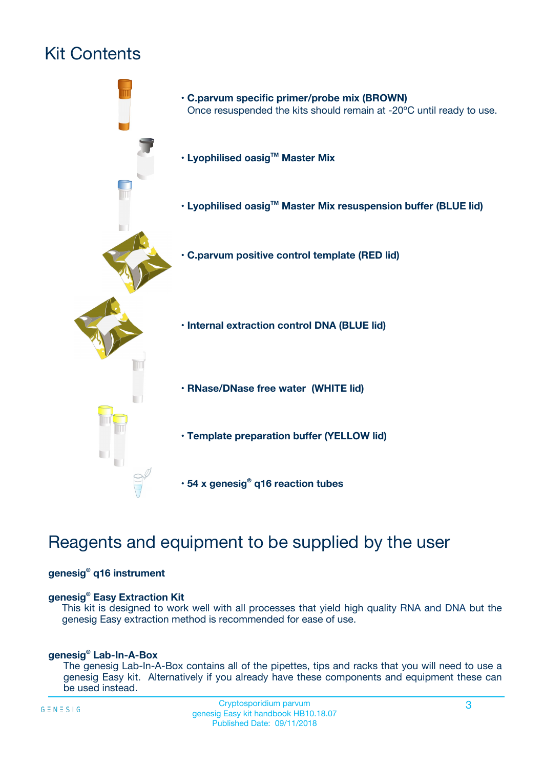# Kit Contents



# Reagents and equipment to be supplied by the user

#### **genesig® q16 instrument**

#### **genesig® Easy Extraction Kit**

This kit is designed to work well with all processes that yield high quality RNA and DNA but the genesig Easy extraction method is recommended for ease of use.

#### **genesig® Lab-In-A-Box**

The genesig Lab-In-A-Box contains all of the pipettes, tips and racks that you will need to use a genesig Easy kit. Alternatively if you already have these components and equipment these can be used instead.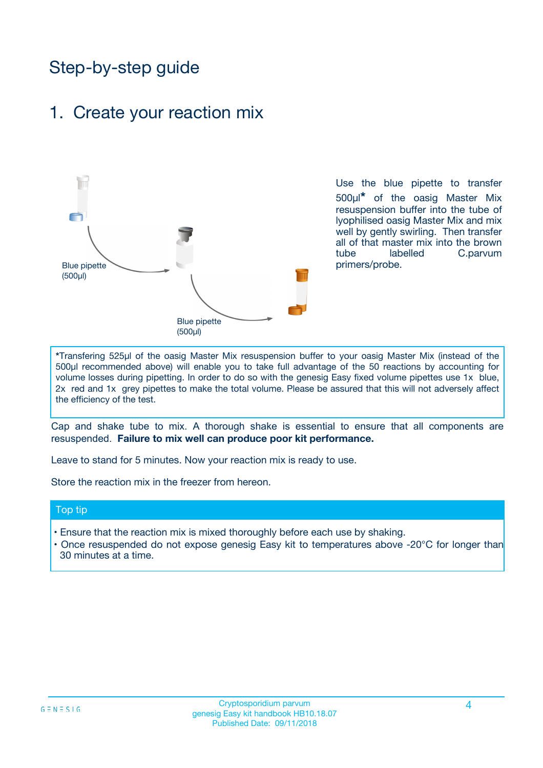# Step-by-step guide

### 1. Create your reaction mix



Use the blue pipette to transfer 500µl**\*** of the oasig Master Mix resuspension buffer into the tube of lyophilised oasig Master Mix and mix well by gently swirling. Then transfer all of that master mix into the brown tube labelled C.parvum primers/probe.

**\***Transfering 525µl of the oasig Master Mix resuspension buffer to your oasig Master Mix (instead of the 500µl recommended above) will enable you to take full advantage of the 50 reactions by accounting for volume losses during pipetting. In order to do so with the genesig Easy fixed volume pipettes use 1x blue, 2x red and 1x grey pipettes to make the total volume. Please be assured that this will not adversely affect the efficiency of the test.

Cap and shake tube to mix. A thorough shake is essential to ensure that all components are resuspended. **Failure to mix well can produce poor kit performance.**

Leave to stand for 5 minutes. Now your reaction mix is ready to use.

Store the reaction mix in the freezer from hereon.

#### Top tip

- Ensure that the reaction mix is mixed thoroughly before each use by shaking.
- **•** Once resuspended do not expose genesig Easy kit to temperatures above -20°C for longer than 30 minutes at a time.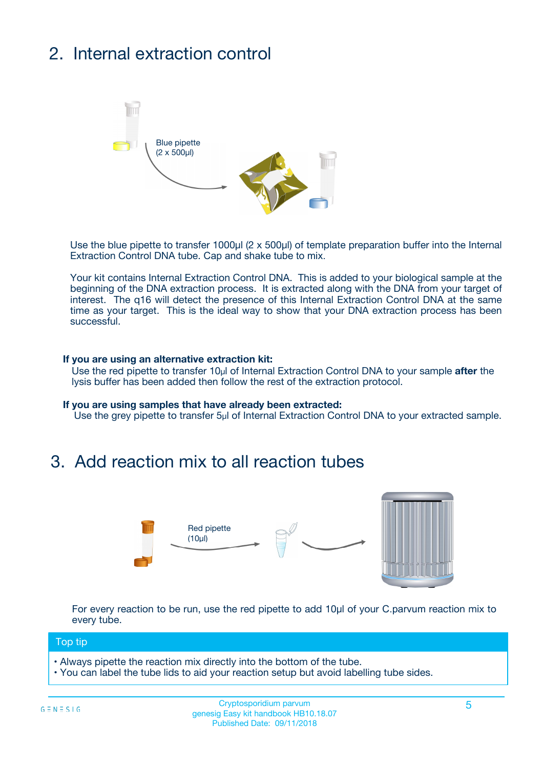# 2. Internal extraction control



Use the blue pipette to transfer 1000µl (2 x 500µl) of template preparation buffer into the Internal Extraction Control DNA tube. Cap and shake tube to mix.

Your kit contains Internal Extraction Control DNA. This is added to your biological sample at the beginning of the DNA extraction process. It is extracted along with the DNA from your target of interest. The q16 will detect the presence of this Internal Extraction Control DNA at the same time as your target. This is the ideal way to show that your DNA extraction process has been **successful.** 

#### **If you are using an alternative extraction kit:**

Use the red pipette to transfer 10µl of Internal Extraction Control DNA to your sample **after** the lysis buffer has been added then follow the rest of the extraction protocol.

#### **If you are using samples that have already been extracted:**

Use the grey pipette to transfer 5µl of Internal Extraction Control DNA to your extracted sample.

## 3. Add reaction mix to all reaction tubes



For every reaction to be run, use the red pipette to add 10µl of your C.parvum reaction mix to every tube.

#### Top tip

- Always pipette the reaction mix directly into the bottom of the tube.
- You can label the tube lids to aid your reaction setup but avoid labelling tube sides.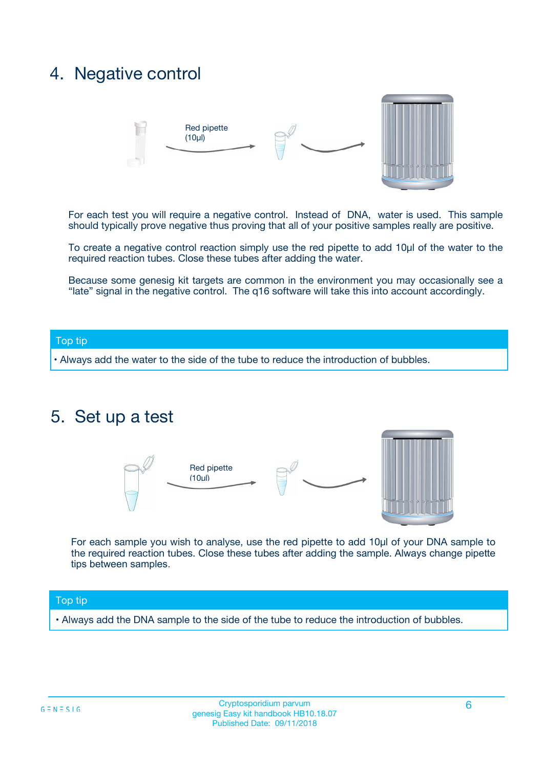## 4. Negative control



For each test you will require a negative control. Instead of DNA, water is used. This sample should typically prove negative thus proving that all of your positive samples really are positive.

To create a negative control reaction simply use the red pipette to add 10µl of the water to the required reaction tubes. Close these tubes after adding the water.

Because some genesig kit targets are common in the environment you may occasionally see a "late" signal in the negative control. The q16 software will take this into account accordingly.

#### Top tip

**•** Always add the water to the side of the tube to reduce the introduction of bubbles.

### 5. Set up a test



For each sample you wish to analyse, use the red pipette to add 10µl of your DNA sample to the required reaction tubes. Close these tubes after adding the sample. Always change pipette tips between samples.

#### Top tip

**•** Always add the DNA sample to the side of the tube to reduce the introduction of bubbles.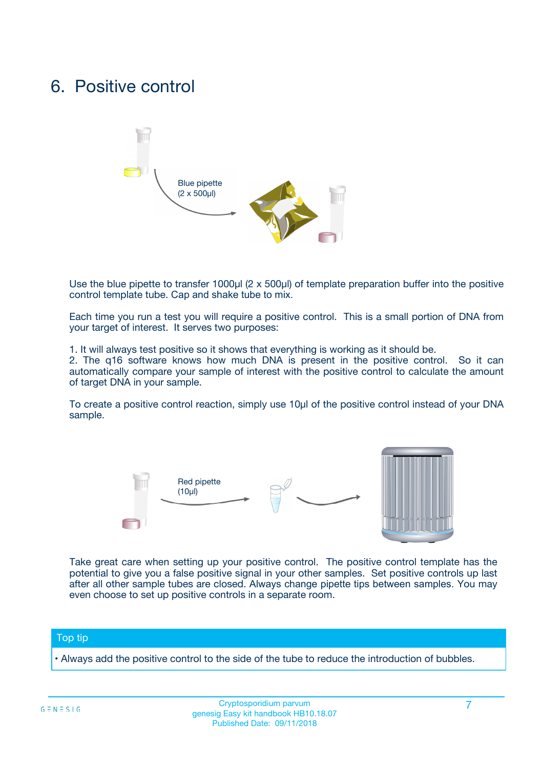## 6. Positive control



Use the blue pipette to transfer 1000µl (2 x 500µl) of template preparation buffer into the positive control template tube. Cap and shake tube to mix.

Each time you run a test you will require a positive control. This is a small portion of DNA from your target of interest. It serves two purposes:

1. It will always test positive so it shows that everything is working as it should be.

2. The q16 software knows how much DNA is present in the positive control. So it can automatically compare your sample of interest with the positive control to calculate the amount of target DNA in your sample.

To create a positive control reaction, simply use 10µl of the positive control instead of your DNA sample.



Take great care when setting up your positive control. The positive control template has the potential to give you a false positive signal in your other samples. Set positive controls up last after all other sample tubes are closed. Always change pipette tips between samples. You may even choose to set up positive controls in a separate room.

#### Top tip

**•** Always add the positive control to the side of the tube to reduce the introduction of bubbles.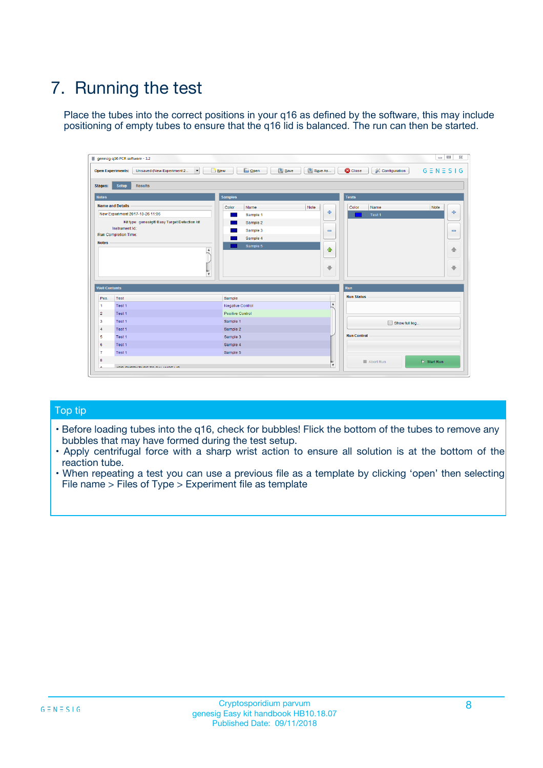# 7. Running the test

Place the tubes into the correct positions in your q16 as defined by the software, this may include positioning of empty tubes to ensure that the q16 lid is balanced. The run can then be started.

|                      | genesig q16 PCR software - 1.2                                               |                                |                              |                                          | $\begin{array}{c c c c} \hline \multicolumn{3}{c }{\textbf{0}} & \multicolumn{3}{c }{\textbf{0}} \end{array}$<br>$\Sigma\!3$ |
|----------------------|------------------------------------------------------------------------------|--------------------------------|------------------------------|------------------------------------------|------------------------------------------------------------------------------------------------------------------------------|
|                      | $\vert \cdot \vert$<br><b>Open Experiments:</b><br>Unsaved (New Experiment 2 | Open<br>Save<br>$\sqrt{9}$ New | Save As                      | <b>C</b> Close<br><b>X</b> Configuration | $G \equiv N \equiv S \mid G$                                                                                                 |
| <b>Stages:</b>       | Setup<br><b>Results</b>                                                      |                                |                              |                                          |                                                                                                                              |
| <b>Notes</b>         |                                                                              | <b>Samples</b>                 |                              | <b>Tests</b>                             |                                                                                                                              |
|                      | <b>Name and Details</b>                                                      | Color<br>Name                  | Note                         | Color<br>Name                            | Note                                                                                                                         |
|                      | New Experiment 2017-10-26 11:06                                              | Sample 1                       | ÷                            | Test 1                                   | ÷                                                                                                                            |
|                      | Kit type: genesig® Easy Target Detection kit                                 | Sample 2                       |                              |                                          |                                                                                                                              |
|                      | Instrument Id.:                                                              | Sample 3                       | $\qquad \qquad \blacksquare$ |                                          | $\qquad \qquad \blacksquare$                                                                                                 |
|                      | <b>Run Completion Time:</b>                                                  | Sample 4                       |                              |                                          |                                                                                                                              |
| <b>Notes</b>         | <b>A</b><br>v                                                                | Sample 5                       | $\triangle$<br>$\oplus$      |                                          | 4<br>₩                                                                                                                       |
| <b>Well Contents</b> |                                                                              |                                |                              | Run                                      |                                                                                                                              |
| Pos.                 | Test                                                                         | Sample                         |                              | <b>Run Status</b>                        |                                                                                                                              |
| $\overline{1}$       | Test 1                                                                       | <b>Negative Control</b>        | $\blacktriangle$             |                                          |                                                                                                                              |
| $\overline{2}$       | Test 1                                                                       | <b>Positive Control</b>        |                              |                                          |                                                                                                                              |
| 3                    | Test 1                                                                       | Sample 1                       |                              | Show full log                            |                                                                                                                              |
| $\overline{4}$       | Test 1                                                                       | Sample 2                       |                              |                                          |                                                                                                                              |
| 5                    | Test 1                                                                       | Sample 3                       |                              | <b>Run Control</b>                       |                                                                                                                              |
| 6                    | Test 1                                                                       | Sample 4                       |                              |                                          |                                                                                                                              |
| $\overline{7}$       | Test 1                                                                       | Sample 5                       |                              |                                          |                                                                                                                              |
| -8                   |                                                                              |                                |                              | Abort Run                                | $\triangleright$ Start Run                                                                                                   |
|                      | <b>JOB FURTY TURE TO BULLMAR LIB</b>                                         |                                | $\overline{\mathbf{v}}$      |                                          |                                                                                                                              |

#### Top tip

- Before loading tubes into the q16, check for bubbles! Flick the bottom of the tubes to remove any bubbles that may have formed during the test setup.
- Apply centrifugal force with a sharp wrist action to ensure all solution is at the bottom of the reaction tube.
- When repeating a test you can use a previous file as a template by clicking 'open' then selecting File name > Files of Type > Experiment file as template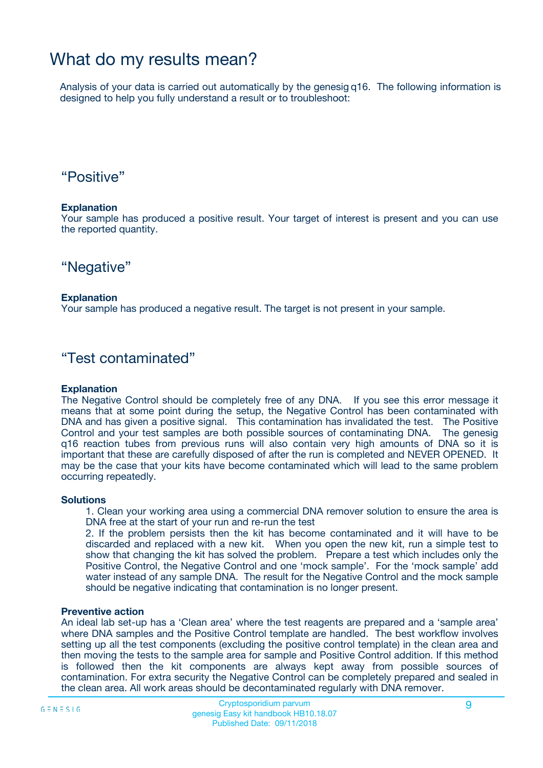## What do my results mean?

Analysis of your data is carried out automatically by the genesig q16. The following information is designed to help you fully understand a result or to troubleshoot:

### "Positive"

#### **Explanation**

Your sample has produced a positive result. Your target of interest is present and you can use the reported quantity.

"Negative"

#### **Explanation**

Your sample has produced a negative result. The target is not present in your sample.

### "Test contaminated"

#### **Explanation**

The Negative Control should be completely free of any DNA. If you see this error message it means that at some point during the setup, the Negative Control has been contaminated with DNA and has given a positive signal. This contamination has invalidated the test. The Positive Control and your test samples are both possible sources of contaminating DNA. The genesig q16 reaction tubes from previous runs will also contain very high amounts of DNA so it is important that these are carefully disposed of after the run is completed and NEVER OPENED. It may be the case that your kits have become contaminated which will lead to the same problem occurring repeatedly.

#### **Solutions**

1. Clean your working area using a commercial DNA remover solution to ensure the area is DNA free at the start of your run and re-run the test

2. If the problem persists then the kit has become contaminated and it will have to be discarded and replaced with a new kit. When you open the new kit, run a simple test to show that changing the kit has solved the problem. Prepare a test which includes only the Positive Control, the Negative Control and one 'mock sample'. For the 'mock sample' add water instead of any sample DNA. The result for the Negative Control and the mock sample should be negative indicating that contamination is no longer present.

#### **Preventive action**

An ideal lab set-up has a 'Clean area' where the test reagents are prepared and a 'sample area' where DNA samples and the Positive Control template are handled. The best workflow involves setting up all the test components (excluding the positive control template) in the clean area and then moving the tests to the sample area for sample and Positive Control addition. If this method is followed then the kit components are always kept away from possible sources of contamination. For extra security the Negative Control can be completely prepared and sealed in the clean area. All work areas should be decontaminated regularly with DNA remover.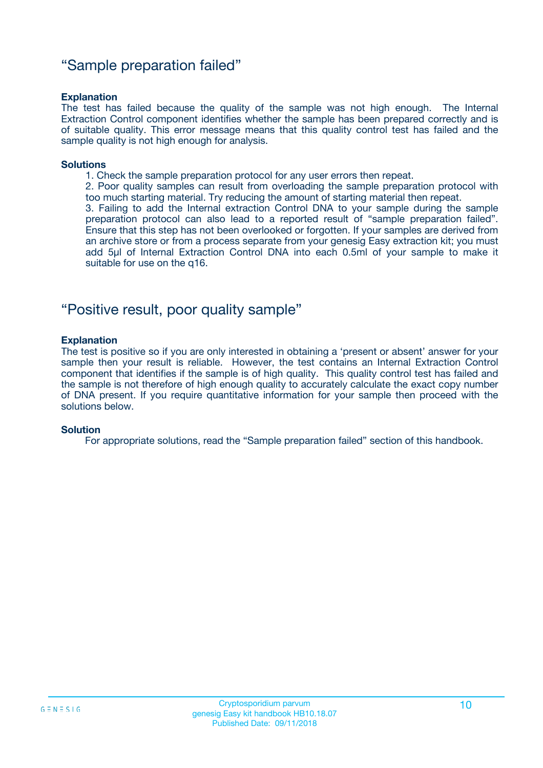### "Sample preparation failed"

#### **Explanation**

The test has failed because the quality of the sample was not high enough. The Internal Extraction Control component identifies whether the sample has been prepared correctly and is of suitable quality. This error message means that this quality control test has failed and the sample quality is not high enough for analysis.

#### **Solutions**

1. Check the sample preparation protocol for any user errors then repeat.

2. Poor quality samples can result from overloading the sample preparation protocol with too much starting material. Try reducing the amount of starting material then repeat.

3. Failing to add the Internal extraction Control DNA to your sample during the sample preparation protocol can also lead to a reported result of "sample preparation failed". Ensure that this step has not been overlooked or forgotten. If your samples are derived from an archive store or from a process separate from your genesig Easy extraction kit; you must add 5µl of Internal Extraction Control DNA into each 0.5ml of your sample to make it suitable for use on the q16.

### "Positive result, poor quality sample"

#### **Explanation**

The test is positive so if you are only interested in obtaining a 'present or absent' answer for your sample then your result is reliable. However, the test contains an Internal Extraction Control component that identifies if the sample is of high quality. This quality control test has failed and the sample is not therefore of high enough quality to accurately calculate the exact copy number of DNA present. If you require quantitative information for your sample then proceed with the solutions below.

#### **Solution**

For appropriate solutions, read the "Sample preparation failed" section of this handbook.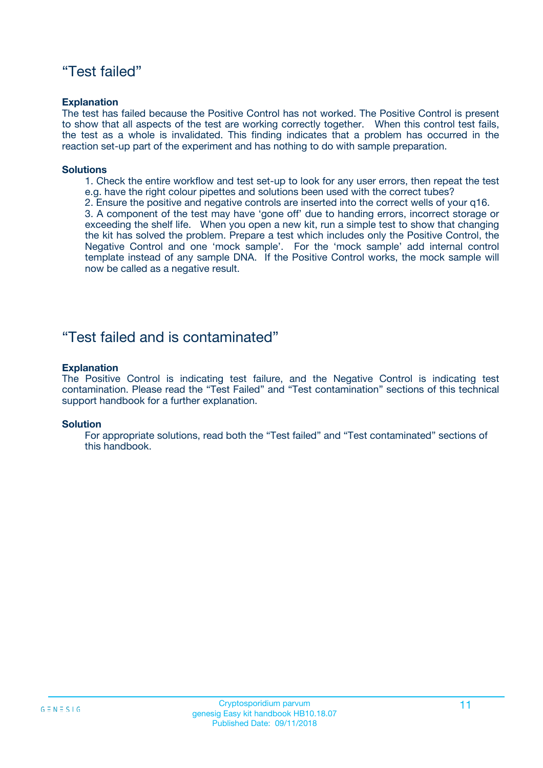### "Test failed"

#### **Explanation**

The test has failed because the Positive Control has not worked. The Positive Control is present to show that all aspects of the test are working correctly together. When this control test fails, the test as a whole is invalidated. This finding indicates that a problem has occurred in the reaction set-up part of the experiment and has nothing to do with sample preparation.

#### **Solutions**

- 1. Check the entire workflow and test set-up to look for any user errors, then repeat the test e.g. have the right colour pipettes and solutions been used with the correct tubes?
- 2. Ensure the positive and negative controls are inserted into the correct wells of your q16.

3. A component of the test may have 'gone off' due to handing errors, incorrect storage or exceeding the shelf life. When you open a new kit, run a simple test to show that changing the kit has solved the problem. Prepare a test which includes only the Positive Control, the Negative Control and one 'mock sample'. For the 'mock sample' add internal control template instead of any sample DNA. If the Positive Control works, the mock sample will now be called as a negative result.

### "Test failed and is contaminated"

#### **Explanation**

The Positive Control is indicating test failure, and the Negative Control is indicating test contamination. Please read the "Test Failed" and "Test contamination" sections of this technical support handbook for a further explanation.

#### **Solution**

For appropriate solutions, read both the "Test failed" and "Test contaminated" sections of this handbook.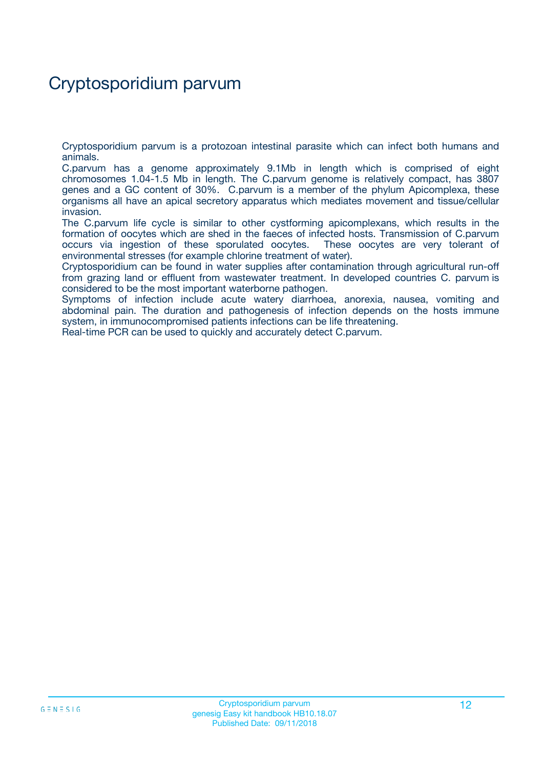# Cryptosporidium parvum

Cryptosporidium parvum is a protozoan intestinal parasite which can infect both humans and animals.

C.parvum has a genome approximately 9.1Mb in length which is comprised of eight chromosomes 1.04-1.5 Mb in length. The C.parvum genome is relatively compact, has 3807 genes and a GC content of 30%. C.parvum is a member of the phylum Apicomplexa, these organisms all have an apical secretory apparatus which mediates movement and tissue/cellular invasion.

The C.parvum life cycle is similar to other cystforming apicomplexans, which results in the formation of oocytes which are shed in the faeces of infected hosts. Transmission of C.parvum occurs via ingestion of these sporulated oocytes. These oocytes are very tolerant of environmental stresses (for example chlorine treatment of water).

Cryptosporidium can be found in water supplies after contamination through agricultural run-off from grazing land or effluent from wastewater treatment. In developed countries C. parvum is considered to be the most important waterborne pathogen.

Symptoms of infection include acute watery diarrhoea, anorexia, nausea, vomiting and abdominal pain. The duration and pathogenesis of infection depends on the hosts immune system, in immunocompromised patients infections can be life threatening.

Real-time PCR can be used to quickly and accurately detect C.parvum.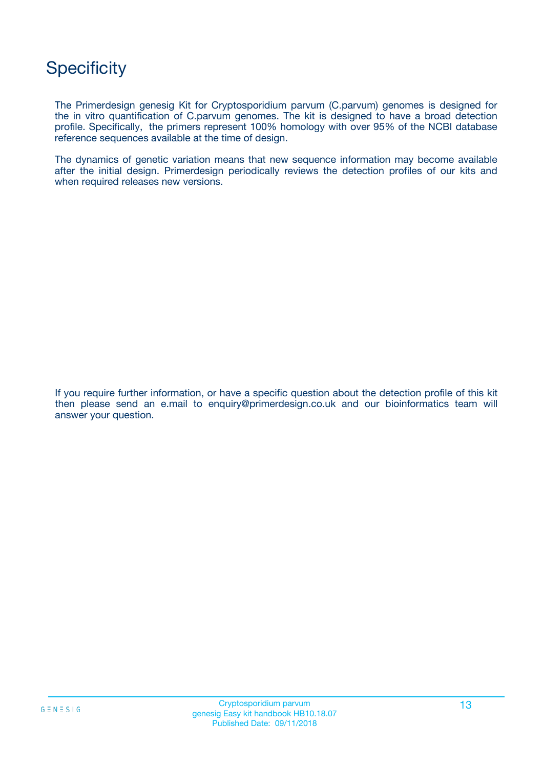# **Specificity**

The Primerdesign genesig Kit for Cryptosporidium parvum (C.parvum) genomes is designed for the in vitro quantification of C.parvum genomes. The kit is designed to have a broad detection profile. Specifically, the primers represent 100% homology with over 95% of the NCBI database reference sequences available at the time of design.

The dynamics of genetic variation means that new sequence information may become available after the initial design. Primerdesign periodically reviews the detection profiles of our kits and when required releases new versions.

If you require further information, or have a specific question about the detection profile of this kit then please send an e.mail to enquiry@primerdesign.co.uk and our bioinformatics team will answer your question.